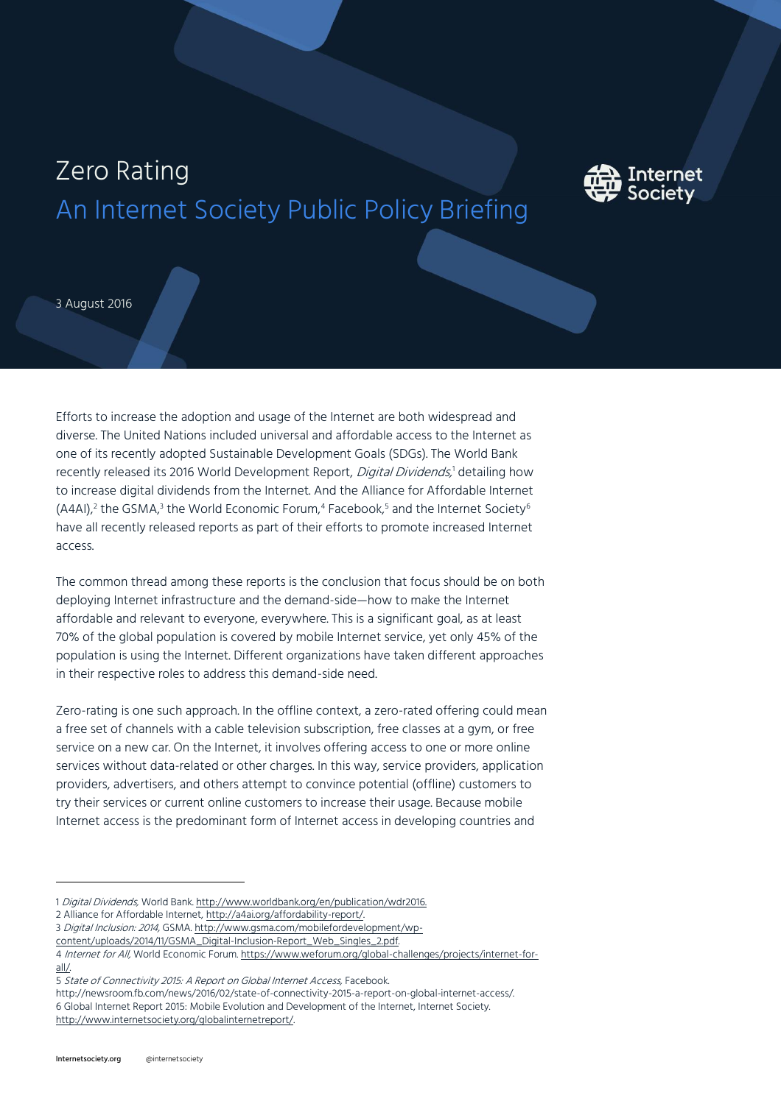# Zero Rating An Internet Society Public Policy Briefing



3 August 2016

Efforts to increase the adoption and usage of the Internet are both widespread and diverse. The United Nations included universal and affordable access to the Internet as one of its recently adopted Sustainable Development Goals (SDGs). The World Bank recently released its 2016 World Development Report*, Digital Dividends,*' detailing how to increase digital dividends from the Internet. And the Alliance for Affordable Internet (A4AI), $^2$  the GSMA, $^3$  the World Economic Forum, $^4$  Facebook, $^5$  and the Internet Society $^6$ have all recently released reports as part of their efforts to promote increased Internet access.

The common thread among these reports is the conclusion that focus should be on both deploying Internet infrastructure and the demand-side—how to make the Internet affordable and relevant to everyone, everywhere. This is a significant goal, as at least 70% of the global population is covered by mobile Internet service, yet only 45% of the population is using the Internet. Different organizations have taken different approaches in their respective roles to address this demand-side need.

Zero-rating is one such approach. In the offline context, a zero-rated offering could mean a free set of channels with a cable television subscription, free classes at a gym, or free service on a new car. On the Internet, it involves offering access to one or more online services without data-related or other charges. In this way, service providers, application providers, advertisers, and others attempt to convince potential (offline) customers to try their services or current online customers to increase their usage. Because mobile Internet access is the predominant form of Internet access in developing countries and

- 2 Alliance for Affordable Internet[, http://a4ai.org/affordability-report/.](http://a4ai.org/affordability-report/)
- 3 Digital Inclusion: 2014, GSMA[. http://www.gsma.com/mobilefordevelopment/wp-](http://www.gsma.com/mobilefordevelopment/wp-content/uploads/2014/11/GSMA_Digital-Inclusion-Report_Web_Singles_2.pdf)
- [content/uploads/2014/11/GSMA\\_Digital-Inclusion-Report\\_Web\\_Singles\\_2.pdf.](http://www.gsma.com/mobilefordevelopment/wp-content/uploads/2014/11/GSMA_Digital-Inclusion-Report_Web_Singles_2.pdf)

http://newsroom.fb.com/news/2016/02/state-of-connectivity-2015-a-report-on-global-internet-access/.

6 Global Internet Report 2015: Mobile Evolution and Development of the Internet, Internet Society. [http://www.internetsociety.org/globalinternetreport/.](http://www.internetsociety.org/globalinternetreport/)

I

<sup>1</sup> Digital Dividends, World Bank[. http://www.worldbank.org/en/publication/wdr2016.](http://www.worldbank.org/en/publication/wdr2016)

<sup>4</sup> Internet for All, World Economic Forum[. https://www.weforum.org/global-challenges/projects/internet-for](https://www.weforum.org/global-challenges/projects/internet-for-all/)[all/.](https://www.weforum.org/global-challenges/projects/internet-for-all/) 

<sup>5</sup> State of Connectivity 2015: A Report on Global Internet Access, Facebook.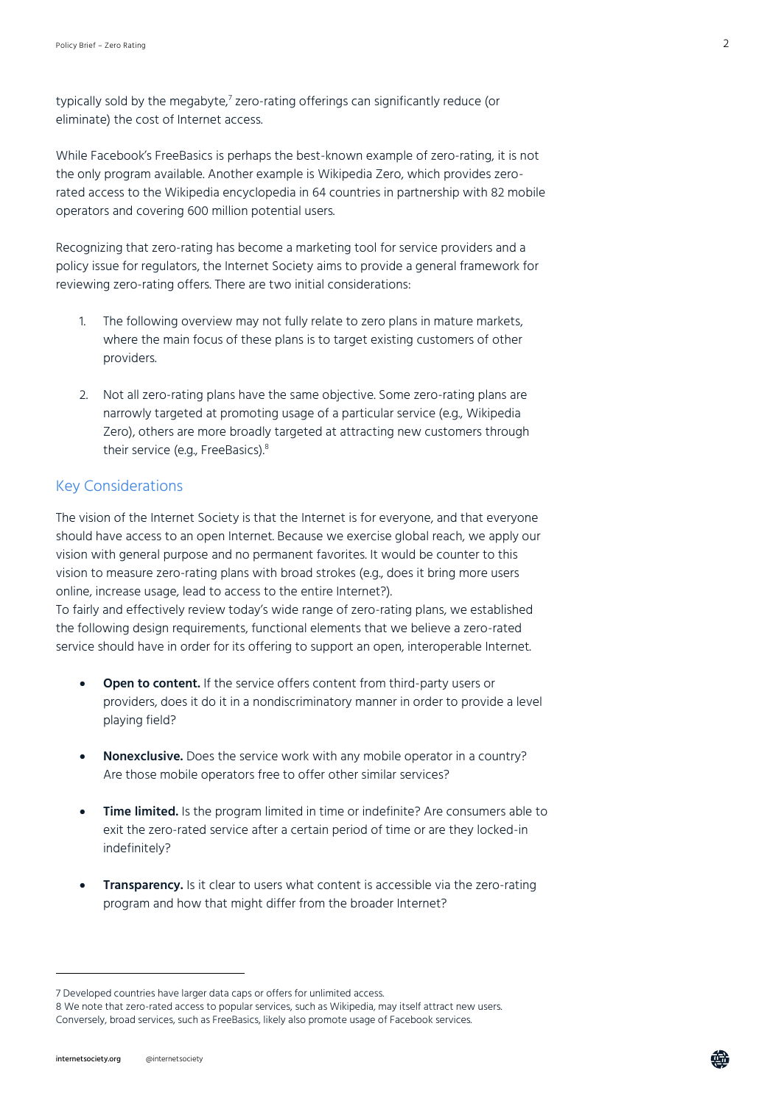typically sold by the megabyte, $\ell$  zero-rating offerings can significantly reduce (or eliminate) the cost of Internet access.

While Facebook's FreeBasics is perhaps the best-known example of zero-rating, it is not the only program available. Another example is Wikipedia Zero, which provides zerorated access to the Wikipedia encyclopedia in 64 countries in partnership with 82 mobile operators and covering 600 million potential users.

Recognizing that zero-rating has become a marketing tool for service providers and a policy issue for regulators, the Internet Society aims to provide a general framework for reviewing zero-rating offers. There are two initial considerations:

- 1. The following overview may not fully relate to zero plans in mature markets, where the main focus of these plans is to target existing customers of other providers.
- 2. Not all zero-rating plans have the same objective. Some zero-rating plans are narrowly targeted at promoting usage of a particular service (e.g., Wikipedia Zero), others are more broadly targeted at attracting new customers through their service (e.g., FreeBasics).<sup>8</sup>

### Key Considerations

The vision of the Internet Society is that the Internet is for everyone, and that everyone should have access to an open Internet. Because we exercise global reach, we apply our vision with general purpose and no permanent favorites. It would be counter to this vision to measure zero-rating plans with broad strokes (e.g., does it bring more users online, increase usage, lead to access to the entire Internet?).

To fairly and effectively review today's wide range of zero-rating plans, we established the following design requirements, functional elements that we believe a zero-rated service should have in order for its offering to support an open, interoperable Internet.

- **Open to content.** If the service offers content from third-party users or providers, does it do it in a nondiscriminatory manner in order to provide a level playing field?
- **Nonexclusive.** Does the service work with any mobile operator in a country? Are those mobile operators free to offer other similar services?
- **Time limited.** Is the program limited in time or indefinite? Are consumers able to exit the zero-rated service after a certain period of time or are they locked-in indefinitely?
- **Transparency.** Is it clear to users what content is accessible via the zero-rating program and how that might differ from the broader Internet?

l

<sup>7</sup> Developed countries have larger data caps or offers for unlimited access.

<sup>8</sup> We note that zero-rated access to popular services, such as Wikipedia, may itself attract new users. Conversely, broad services, such as FreeBasics, likely also promote usage of Facebook services.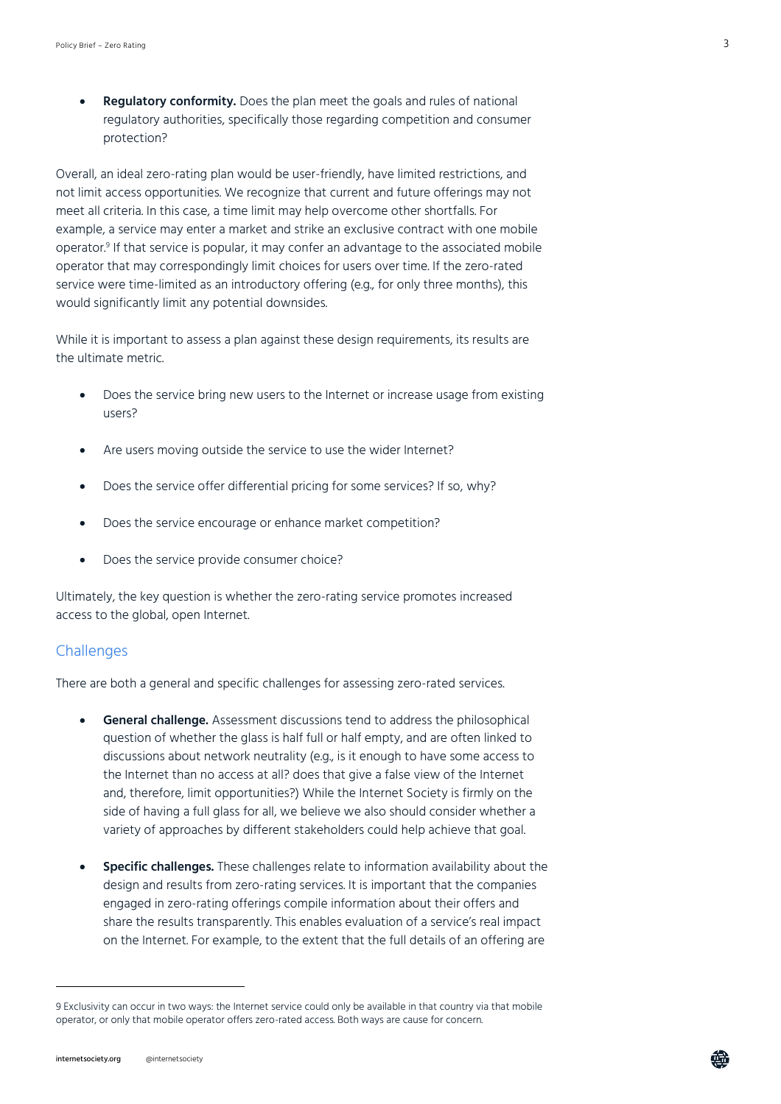**Regulatory conformity.** Does the plan meet the goals and rules of national regulatory authorities, specifically those regarding competition and consumer protection?

Overall, an ideal zero-rating plan would be user-friendly, have limited restrictions, and not limit access opportunities. We recognize that current and future offerings may not meet all criteria. In this case, a time limit may help overcome other shortfalls. For example, a service may enter a market and strike an exclusive contract with one mobile operator.<sup>9</sup> If that service is popular, it may confer an advantage to the associated mobile operator that may correspondingly limit choices for users over time. If the zero-rated service were time-limited as an introductory offering (e.g., for only three months), this would significantly limit any potential downsides.

While it is important to assess a plan against these design requirements, its results are the ultimate metric.

- Does the service bring new users to the Internet or increase usage from existing users?
- Are users moving outside the service to use the wider Internet?
- Does the service offer differential pricing for some services? If so, why?
- Does the service encourage or enhance market competition?
- Does the service provide consumer choice?

Ultimately, the key question is whether the zero-rating service promotes increased access to the global, open Internet.

#### **Challenges**

There are both a general and specific challenges for assessing zero-rated services.

- **General challenge.** Assessment discussions tend to address the philosophical question of whether the glass is half full or half empty, and are often linked to discussions about network neutrality (e.g., is it enough to have some access to the Internet than no access at all? does that give a false view of the Internet and, therefore, limit opportunities?) While the Internet Society is firmly on the side of having a full glass for all, we believe we also should consider whether a variety of approaches by different stakeholders could help achieve that goal.
- **Specific challenges.** These challenges relate to information availability about the design and results from zero-rating services. It is important that the companies engaged in zero-rating offerings compile information about their offers and share the results transparently. This enables evaluation of a service's real impact on the Internet. For example, to the extent that the full details of an offering are

l

<sup>9</sup> Exclusivity can occur in two ways: the Internet service could only be available in that country via that mobile operator, or only that mobile operator offers zero-rated access. Both ways are cause for concern.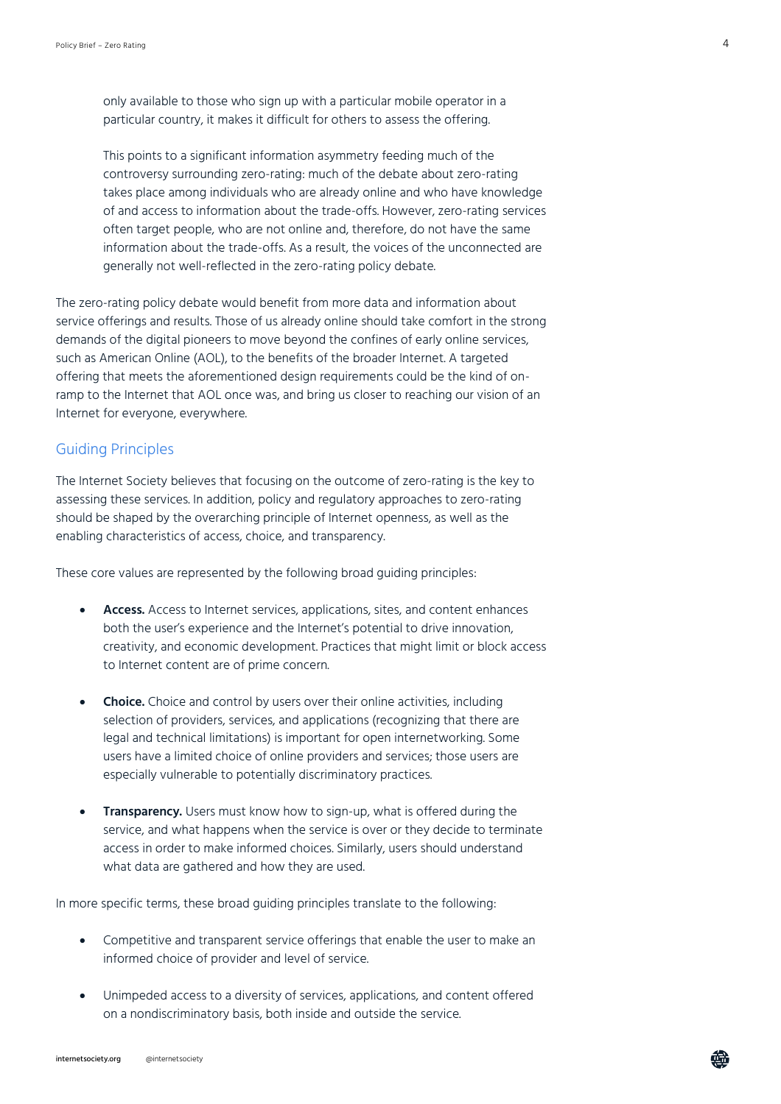only available to those who sign up with a particular mobile operator in a particular country, it makes it difficult for others to assess the offering.

This points to a significant information asymmetry feeding much of the controversy surrounding zero-rating: much of the debate about zero-rating takes place among individuals who are already online and who have knowledge of and access to information about the trade-offs. However, zero-rating services often target people, who are not online and, therefore, do not have the same information about the trade-offs. As a result, the voices of the unconnected are generally not well-reflected in the zero-rating policy debate.

The zero-rating policy debate would benefit from more data and information about service offerings and results. Those of us already online should take comfort in the strong demands of the digital pioneers to move beyond the confines of early online services, such as American Online (AOL), to the benefits of the broader Internet. A targeted offering that meets the aforementioned design requirements could be the kind of onramp to the Internet that AOL once was, and bring us closer to reaching our vision of an Internet for everyone, everywhere.

#### Guiding Principles

The Internet Society believes that focusing on the outcome of zero-rating is the key to assessing these services. In addition, policy and regulatory approaches to zero-rating should be shaped by the overarching principle of Internet openness, as well as the enabling characteristics of access, choice, and transparency.

These core values are represented by the following broad guiding principles:

- **Access.** Access to Internet services, applications, sites, and content enhances both the user's experience and the Internet's potential to drive innovation, creativity, and economic development. Practices that might limit or block access to Internet content are of prime concern.
- **Choice.** Choice and control by users over their online activities, including selection of providers, services, and applications (recognizing that there are legal and technical limitations) is important for open internetworking. Some users have a limited choice of online providers and services; those users are especially vulnerable to potentially discriminatory practices.
- **Transparency.** Users must know how to sign-up, what is offered during the service, and what happens when the service is over or they decide to terminate access in order to make informed choices. Similarly, users should understand what data are gathered and how they are used.

In more specific terms, these broad guiding principles translate to the following:

- Competitive and transparent service offerings that enable the user to make an informed choice of provider and level of service.
- Unimpeded access to a diversity of services, applications, and content offered on a nondiscriminatory basis, both inside and outside the service.